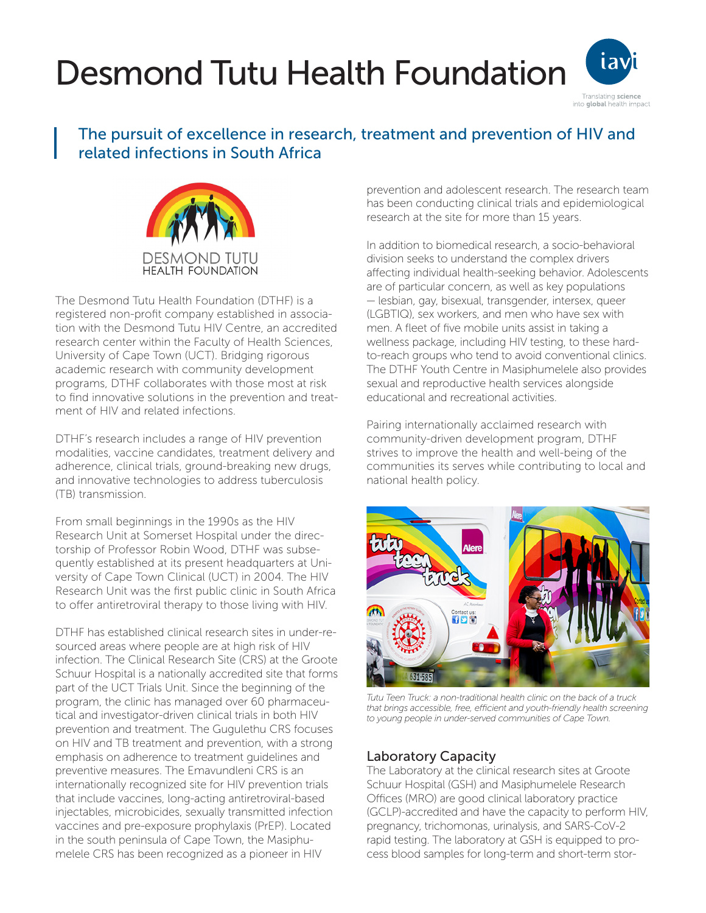# Desmond Tutu Health Foundation



# The pursuit of excellence in research, treatment and prevention of HIV and related infections in South Africa



The Desmond Tutu Health Foundation (DTHF) is a registered non-profit company established in association with the Desmond Tutu HIV Centre, an accredited research center within the Faculty of Health Sciences, University of Cape Town (UCT). Bridging rigorous academic research with community development programs, DTHF collaborates with those most at risk to find innovative solutions in the prevention and treatment of HIV and related infections.

DTHF's research includes a range of HIV prevention modalities, vaccine candidates, treatment delivery and adherence, clinical trials, ground-breaking new drugs, and innovative technologies to address tuberculosis (TB) transmission.

From small beginnings in the 1990s as the HIV Research Unit at Somerset Hospital under the directorship of Professor Robin Wood, DTHF was subsequently established at its present headquarters at University of Cape Town Clinical (UCT) in 2004. The HIV Research Unit was the first public clinic in South Africa to offer antiretroviral therapy to those living with HIV.

DTHF has established clinical research sites in under-resourced areas where people are at high risk of HIV infection. The Clinical Research Site (CRS) at the Groote Schuur Hospital is a nationally accredited site that forms part of the UCT Trials Unit. Since the beginning of the program, the clinic has managed over 60 pharmaceutical and investigator-driven clinical trials in both HIV prevention and treatment. The Gugulethu CRS focuses on HIV and TB treatment and prevention, with a strong emphasis on adherence to treatment guidelines and preventive measures. The Emavundleni CRS is an internationally recognized site for HIV prevention trials that include vaccines, long-acting antiretroviral-based injectables, microbicides, sexually transmitted infection vaccines and pre-exposure prophylaxis (PrEP). Located in the south peninsula of Cape Town, the Masiphumelele CRS has been recognized as a pioneer in HIV

prevention and adolescent research. The research team has been conducting clinical trials and epidemiological research at the site for more than 15 years.

In addition to biomedical research, a socio-behavioral division seeks to understand the complex drivers affecting individual health-seeking behavior. Adolescents are of particular concern, as well as key populations — lesbian, gay, bisexual, transgender, intersex, queer (LGBTIQ), sex workers, and men who have sex with men. A fleet of five mobile units assist in taking a wellness package, including HIV testing, to these hardto-reach groups who tend to avoid conventional clinics. The DTHF Youth Centre in Masiphumelele also provides sexual and reproductive health services alongside educational and recreational activities.

Pairing internationally acclaimed research with community-driven development program, DTHF strives to improve the health and well-being of the communities its serves while contributing to local and national health policy.



*Tutu Teen Truck: a non-traditional health clinic on the back of a truck that brings accessible, free, efficient and youth-friendly health screening to young people in under-served communities of Cape Town.*

## Laboratory Capacity

The Laboratory at the clinical research sites at Groote Schuur Hospital (GSH) and Masiphumelele Research Offices (MRO) are good clinical laboratory practice (GCLP)-accredited and have the capacity to perform HIV, pregnancy, trichomonas, urinalysis, and SARS-CoV-2 rapid testing. The laboratory at GSH is equipped to process blood samples for long-term and short-term stor